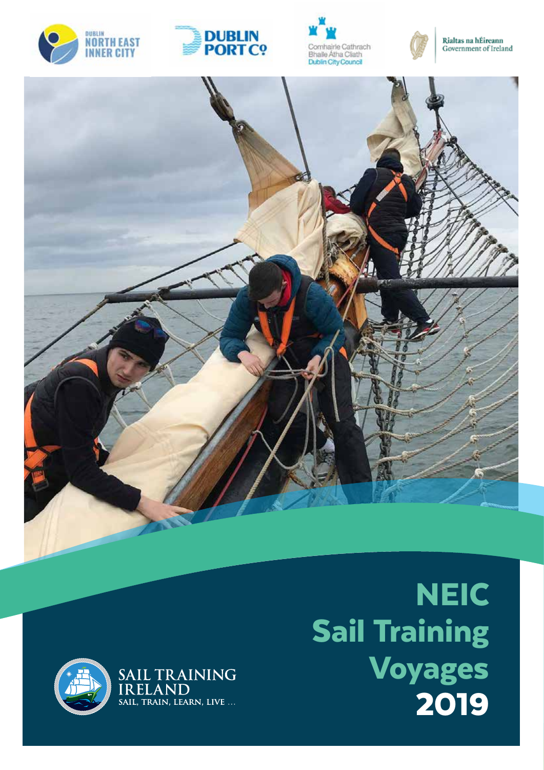











**NEIC** Sail Training Voyages 2019

1<br>1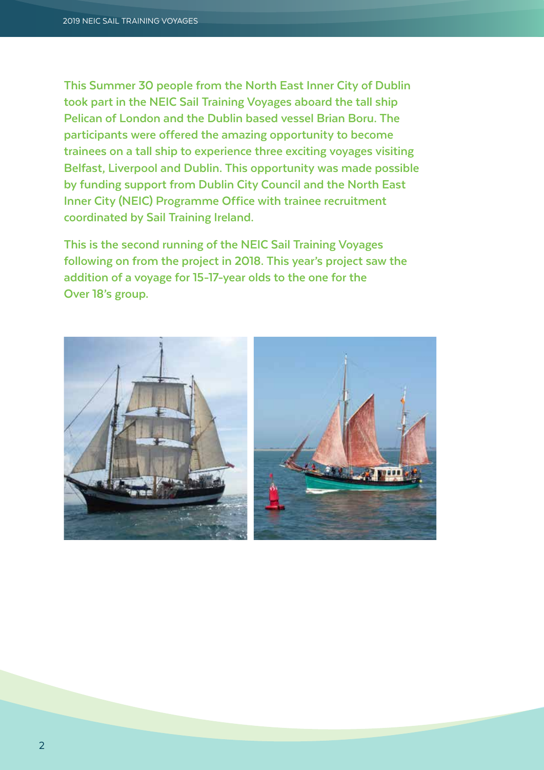**This Summer 30 people from the North East Inner City of Dublin took part in the NEIC Sail Training Voyages aboard the tall ship Pelican of London and the Dublin based vessel Brian Boru. The participants were offered the amazing opportunity to become trainees on a tall ship to experience three exciting voyages visiting Belfast, Liverpool and Dublin. This opportunity was made possible by funding support from Dublin City Council and the North East Inner City (NEIC) Programme Office with trainee recruitment coordinated by Sail Training Ireland.**

**This is the second running of the NEIC Sail Training Voyages following on from the project in 2018. This year's project saw the addition of a voyage for 15-17-year olds to the one for the Over 18's group.** 

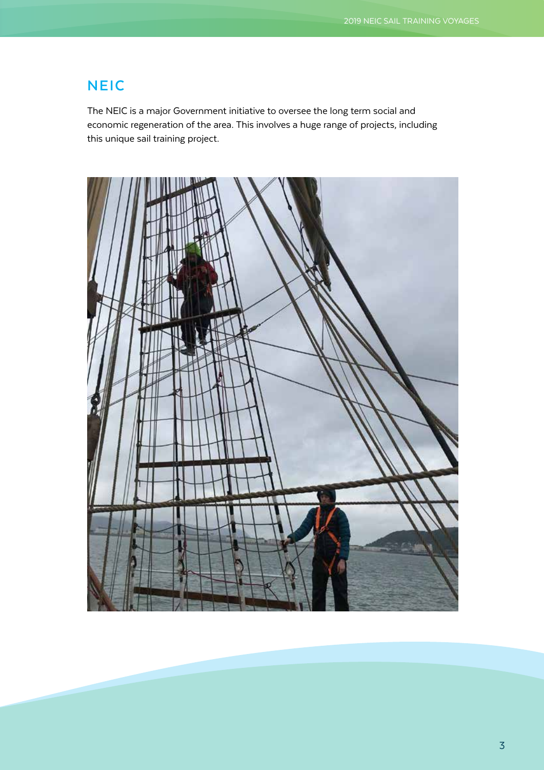## **NEIC**

The NEIC is a major Government initiative to oversee the long term social and economic regeneration of the area. This involves a huge range of projects, including this unique sail training project.

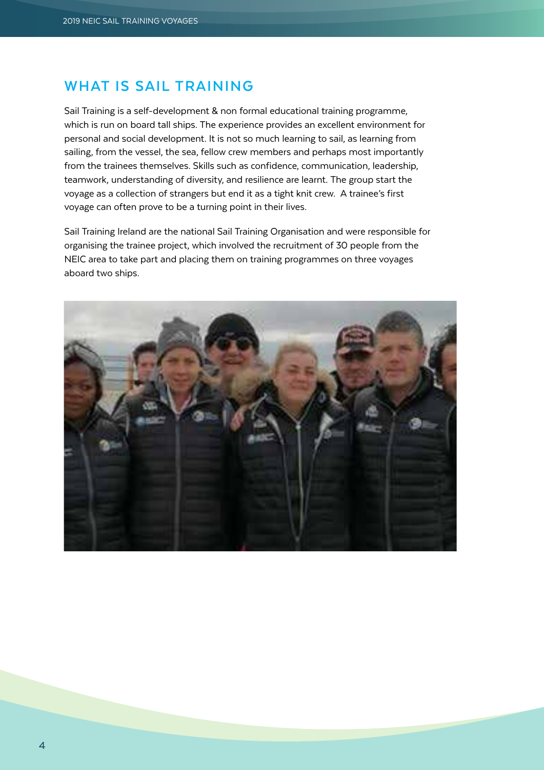## **WHAT IS SAIL TRAINING**

Sail Training is a self-development & non formal educational training programme, which is run on board tall ships. The experience provides an excellent environment for personal and social development. It is not so much learning to sail, as learning from sailing, from the vessel, the sea, fellow crew members and perhaps most importantly from the trainees themselves. Skills such as confidence, communication, leadership, teamwork, understanding of diversity, and resilience are learnt. The group start the voyage as a collection of strangers but end it as a tight knit crew. A trainee's first voyage can often prove to be a turning point in their lives.

Sail Training Ireland are the national Sail Training Organisation and were responsible for organising the trainee project, which involved the recruitment of 30 people from the NEIC area to take part and placing them on training programmes on three voyages aboard two ships.

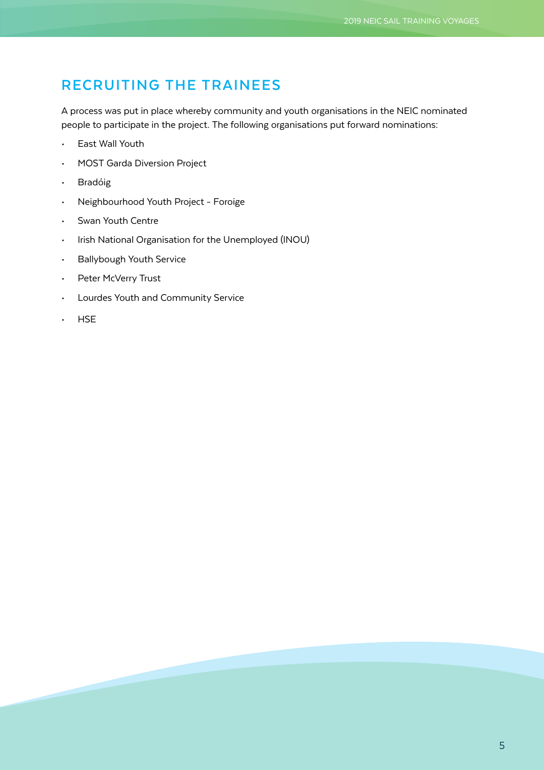# **RECRUITING THE TRAINEES**

A process was put in place whereby community and youth organisations in the NEIC nominated people to participate in the project. The following organisations put forward nominations:

- East Wall Youth
- MOST Garda Diversion Project
- Bradóig
- Neighbourhood Youth Project Foroige
- Swan Youth Centre
- Irish National Organisation for the Unemployed (INOU)
- Ballybough Youth Service
- Peter McVerry Trust
- Lourdes Youth and Community Service
- HSE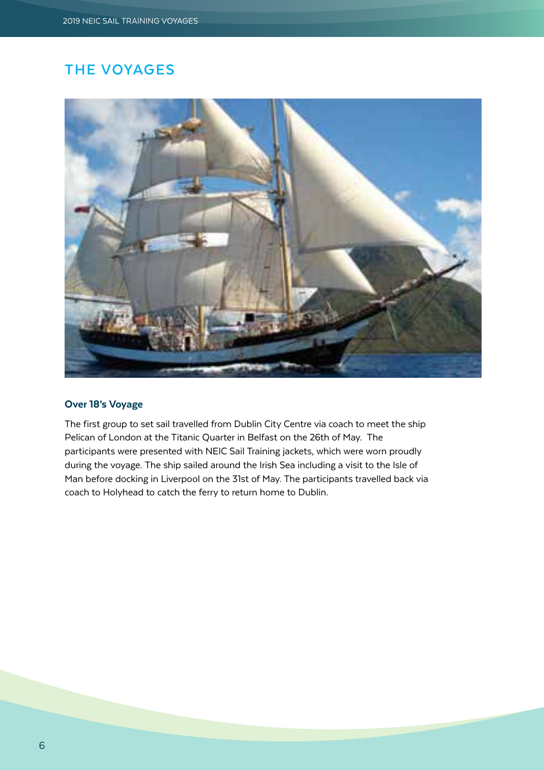# **THE VOYAGES**



#### Over 18's Voyage

The first group to set sail travelled from Dublin City Centre via coach to meet the ship Pelican of London at the Titanic Quarter in Belfast on the 26th of May. The participants were presented with NEIC Sail Training jackets, which were worn proudly during the voyage. The ship sailed around the Irish Sea including a visit to the Isle of Man before docking in Liverpool on the 31st of May. The participants travelled back via coach to Holyhead to catch the ferry to return home to Dublin.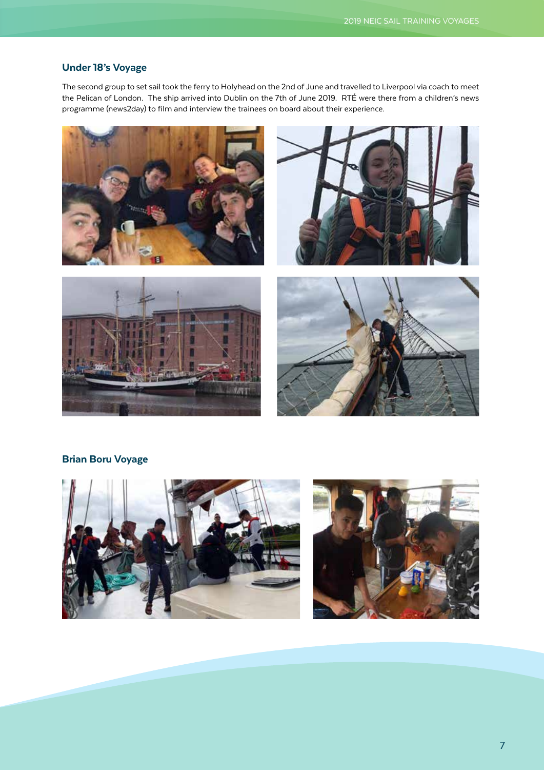#### Under 18's Voyage

The second group to set sail took the ferry to Holyhead on the 2nd of June and travelled to Liverpool via coach to meet the Pelican of London. The ship arrived into Dublin on the 7th of June 2019. RTÉ were there from a children's news programme (news2day) to film and interview the trainees on board about their experience.









#### Brian Boru Voyage



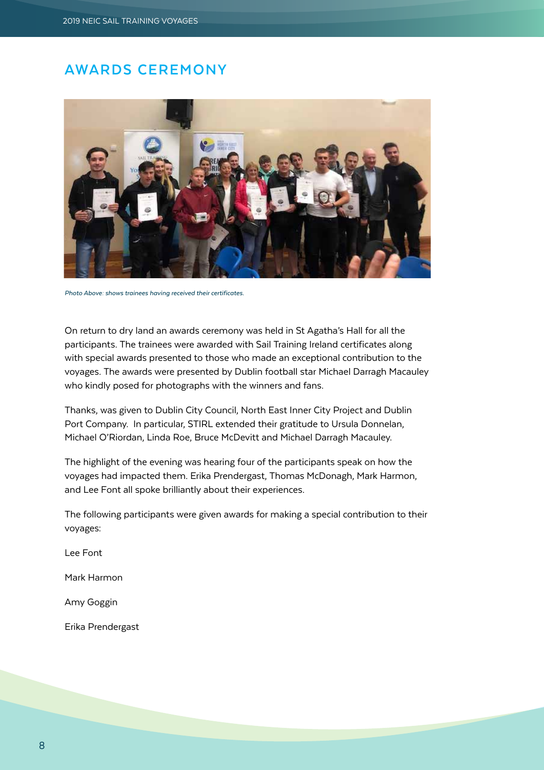## **AWARDS CEREMONY**



*Photo Above: shows trainees having received their certificates.* 

On return to dry land an awards ceremony was held in St Agatha's Hall for all the participants. The trainees were awarded with Sail Training Ireland certificates along with special awards presented to those who made an exceptional contribution to the voyages. The awards were presented by Dublin football star Michael Darragh Macauley who kindly posed for photographs with the winners and fans.

Thanks, was given to Dublin City Council, North East Inner City Project and Dublin Port Company. In particular, STIRL extended their gratitude to Ursula Donnelan, Michael O'Riordan, Linda Roe, Bruce McDevitt and Michael Darragh Macauley.

The highlight of the evening was hearing four of the participants speak on how the voyages had impacted them. Erika Prendergast, Thomas McDonagh, Mark Harmon, and Lee Font all spoke brilliantly about their experiences.

The following participants were given awards for making a special contribution to their voyages:

Lee Font

Mark Harmon

Amy Goggin

Erika Prendergast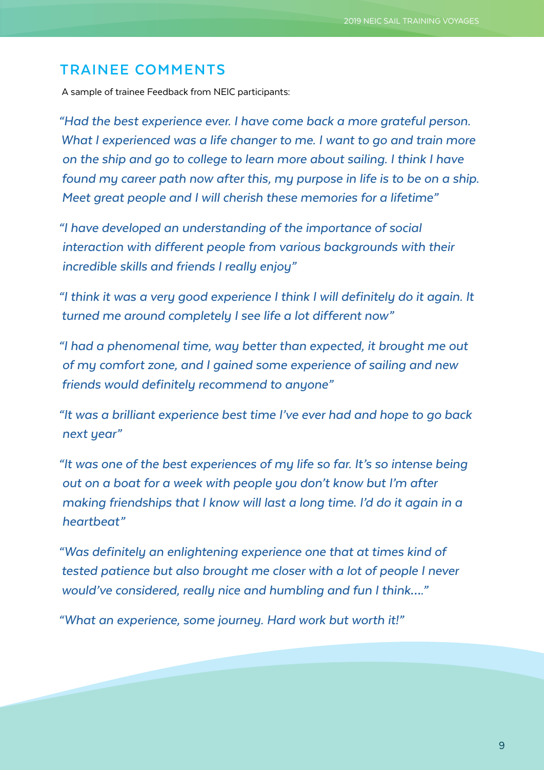### **TRAINEE COMMENTS**

A sample of trainee Feedback from NEIC participants:

*"Had the best experience ever. I have come back a more grateful person. What I experienced was a life changer to me. I want to go and train more on the ship and go to college to learn more about sailing. I think I have found my career path now after this, my purpose in life is to be on a ship. Meet great people and I will cherish these memories for a lifetime"*

*"I have developed an understanding of the importance of social interaction with different people from various backgrounds with their incredible skills and friends I really enjoy"*

*"I think it was a very good experience I think I will definitely do it again. It turned me around completely I see life a lot different now"*

*"I had a phenomenal time, way better than expected, it brought me out of my comfort zone, and I gained some experience of sailing and new friends would definitely recommend to anyone"*

*"It was a brilliant experience best time I've ever had and hope to go back next year"*

*"It was one of the best experiences of my life so far. It's so intense being out on a boat for a week with people you don't know but I'm after making friendships that I know will last a long time. I'd do it again in a heartbeat"*

*"Was definitely an enlightening experience one that at times kind of tested patience but also brought me closer with a lot of people I never would've considered, really nice and humbling and fun I think…."*

*"What an experience, some journey. Hard work but worth it!"*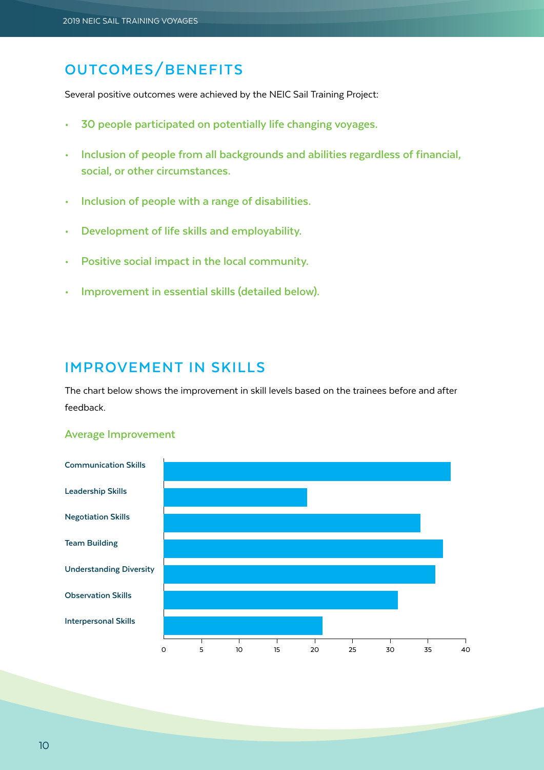# **OUTCOMES/BENEFITS**

Several positive outcomes were achieved by the NEIC Sail Training Project:

- **• 30 people participated on potentially life changing voyages.**
- **• Inclusion of people from all backgrounds and abilities regardless of financial, social, or other circumstances.**
- **• Inclusion of people with a range of disabilities.**
- **• Development of life skills and employability.**
- **• Positive social impact in the local community.**
- **• Improvement in essential skills (detailed below).**

#### **IMPROVEMENT IN SKILLS**

The chart below shows the improvement in skill levels based on the trainees before and after feedback.

#### **Average Improvement**

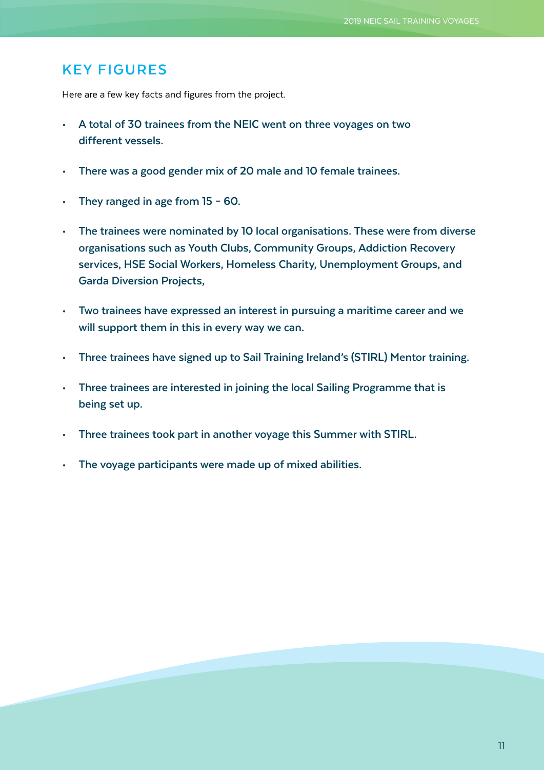## **KEY FIGURES**

Here are a few key facts and figures from the project.

- **• A total of 30 trainees from the NEIC went on three voyages on two different vessels.**
- **• There was a good gender mix of 20 male and 10 female trainees.**
- **• They ranged in age from 15 60.**
- **• The trainees were nominated by 10 local organisations. These were from diverse organisations such as Youth Clubs, Community Groups, Addiction Recovery services, HSE Social Workers, Homeless Charity, Unemployment Groups, and Garda Diversion Projects,**
- **• Two trainees have expressed an interest in pursuing a maritime career and we will support them in this in every way we can.**
- **• Three trainees have signed up to Sail Training Ireland's (STIRL) Mentor training.**
- **• Three trainees are interested in joining the local Sailing Programme that is being set up.**
- **• Three trainees took part in another voyage this Summer with STIRL.**
- **• The voyage participants were made up of mixed abilities.**